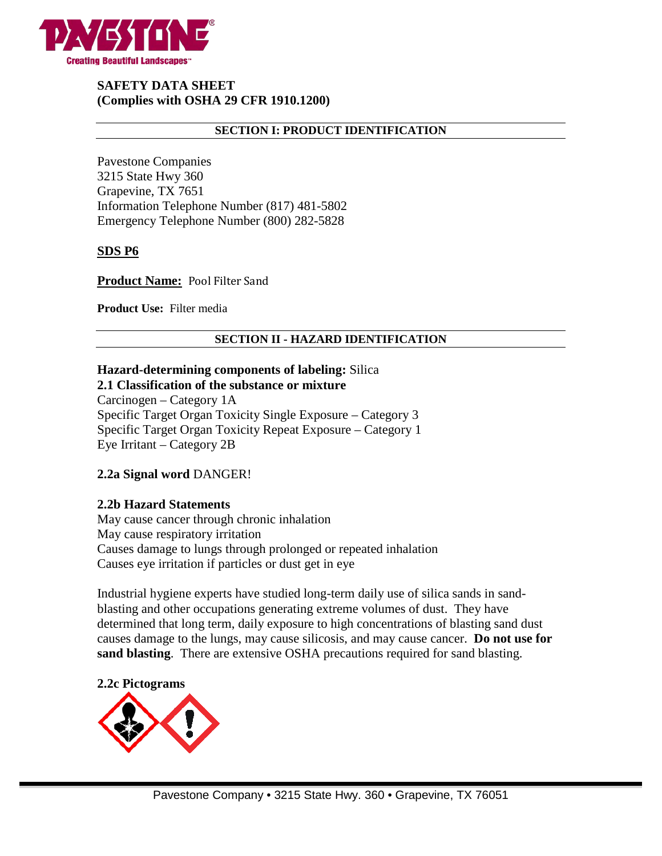

# **SAFETY DATA SHEET (Complies with OSHA 29 CFR 1910.1200)**

### **SECTION I: PRODUCT IDENTIFICATION**

Pavestone Companies 3215 State Hwy 360 Grapevine, TX 7651 Information Telephone Number (817) 481-5802 Emergency Telephone Number (800) 282-5828

### **SDS P6**

**Product Name:** Pool Filter Sand

**Product Use:** Filter media

### **SECTION II - HAZARD IDENTIFICATION**

# **Hazard-determining components of labeling:** Silica

# **2.1 Classification of the substance or mixture**

Carcinogen – Category 1A Specific Target Organ Toxicity Single Exposure – Category 3 Specific Target Organ Toxicity Repeat Exposure – Category 1 Eye Irritant – Category 2B

# **2.2a Signal word** DANGER!

### **2.2b Hazard Statements**

May cause cancer through chronic inhalation May cause respiratory irritation Causes damage to lungs through prolonged or repeated inhalation Causes eye irritation if particles or dust get in eye

Industrial hygiene experts have studied long-term daily use of silica sands in sandblasting and other occupations generating extreme volumes of dust. They have determined that long term, daily exposure to high concentrations of blasting sand dust causes damage to the lungs, may cause silicosis, and may cause cancer. **Do not use for sand blasting**. There are extensive OSHA precautions required for sand blasting.

### **2.2c Pictograms**

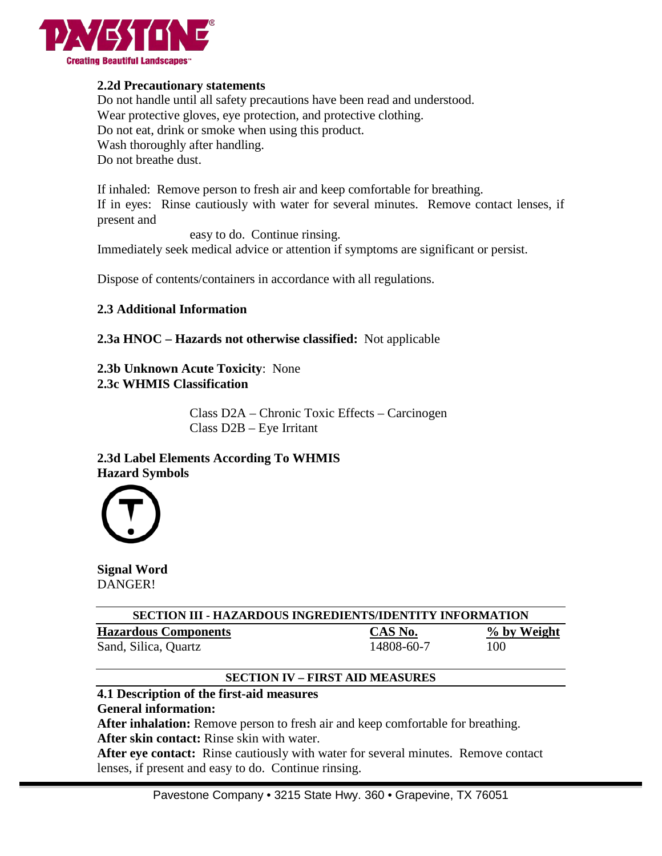

# **2.2d Precautionary statements**

Do not handle until all safety precautions have been read and understood. Wear protective gloves, eye protection, and protective clothing. Do not eat, drink or smoke when using this product. Wash thoroughly after handling. Do not breathe dust.

If inhaled: Remove person to fresh air and keep comfortable for breathing. If in eyes: Rinse cautiously with water for several minutes. Remove contact lenses, if present and

easy to do. Continue rinsing.

Immediately seek medical advice or attention if symptoms are significant or persist.

Dispose of contents/containers in accordance with all regulations.

### **2.3 Additional Information**

**2.3a HNOC – Hazards not otherwise classified:** Not applicable

**2.3b Unknown Acute Toxicity**: None **2.3c WHMIS Classification**

> Class D2A – Chronic Toxic Effects – Carcinogen Class D2B – Eye Irritant

# **2.3d Label Elements According To WHMIS Hazard Symbols**



**Signal Word** DANGER!

| <b>SECTION III - HAZARDOUS INGREDIENTS/IDENTITY INFORMATION</b> |            |             |  |  |
|-----------------------------------------------------------------|------------|-------------|--|--|
| <b>Hazardous Components</b>                                     | CAS No.    | % by Weight |  |  |
| Sand, Silica, Quartz                                            | 14808-60-7 | 100         |  |  |

# **SECTION IV – FIRST AID MEASURES**

# **4.1 Description of the first-aid measures**

**General information:**

**After inhalation:** Remove person to fresh air and keep comfortable for breathing. **After skin contact:** Rinse skin with water.

**After eye contact:** Rinse cautiously with water for several minutes. Remove contact lenses, if present and easy to do. Continue rinsing.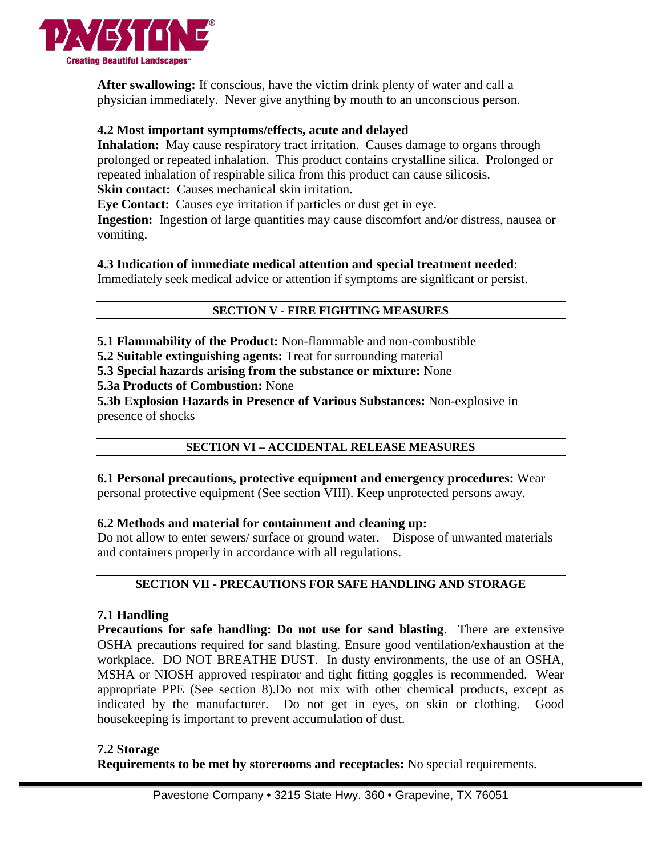

**After swallowing:** If conscious, have the victim drink plenty of water and call a physician immediately. Never give anything by mouth to an unconscious person.

# **4.2 Most important symptoms/effects, acute and delayed**

**Inhalation:** May cause respiratory tract irritation. Causes damage to organs through prolonged or repeated inhalation. This product contains crystalline silica. Prolonged or repeated inhalation of respirable silica from this product can cause silicosis. **Skin contact:** Causes mechanical skin irritation.

**Eye Contact:** Causes eye irritation if particles or dust get in eye.

**Ingestion:** Ingestion of large quantities may cause discomfort and/or distress, nausea or vomiting.

# **4.3 Indication of immediate medical attention and special treatment needed**:

Immediately seek medical advice or attention if symptoms are significant or persist.

# **SECTION V - FIRE FIGHTING MEASURES**

**5.1 Flammability of the Product:** Non-flammable and non-combustible

**5.2 Suitable extinguishing agents:** Treat for surrounding material

**5.3 Special hazards arising from the substance or mixture:** None

**5.3a Products of Combustion:** None

**5.3b Explosion Hazards in Presence of Various Substances:** Non-explosive in presence of shocks

# **SECTION VI – ACCIDENTAL RELEASE MEASURES**

**6.1 Personal precautions, protective equipment and emergency procedures:** Wear personal protective equipment (See section VIII). Keep unprotected persons away.

# **6.2 Methods and material for containment and cleaning up:**

Do not allow to enter sewers/ surface or ground water. Dispose of unwanted materials and containers properly in accordance with all regulations.

# **SECTION VII - PRECAUTIONS FOR SAFE HANDLING AND STORAGE**

# **7.1 Handling**

**Precautions for safe handling: Do not use for sand blasting**. There are extensive OSHA precautions required for sand blasting. Ensure good ventilation/exhaustion at the workplace. DO NOT BREATHE DUST. In dusty environments, the use of an OSHA, MSHA or NIOSH approved respirator and tight fitting goggles is recommended. Wear appropriate PPE (See section 8).Do not mix with other chemical products, except as indicated by the manufacturer. Do not get in eyes, on skin or clothing. Good housekeeping is important to prevent accumulation of dust.

### **7.2 Storage**

**Requirements to be met by storerooms and receptacles:** No special requirements.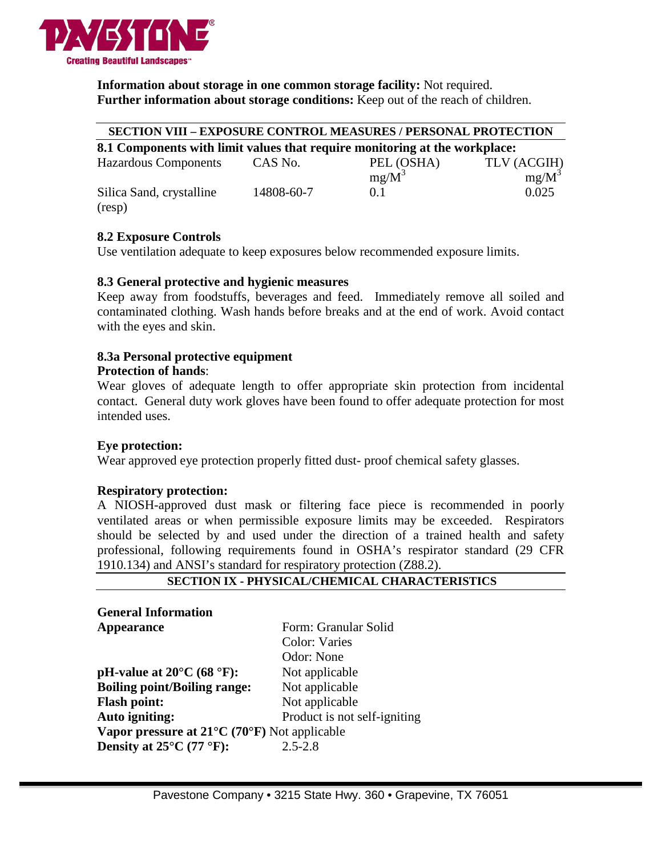

**Information about storage in one common storage facility:** Not required. **Further information about storage conditions:** Keep out of the reach of children.

#### **SECTION VIII – EXPOSURE CONTROL MEASURES / PERSONAL PROTECTION**

| 8.1 Components with limit values that require monitoring at the workplace: |         |            |             |  |  |
|----------------------------------------------------------------------------|---------|------------|-------------|--|--|
| <b>Hazardous Components</b>                                                | CAS No. | PEL (OSHA) | TLV (ACGIH) |  |  |

 $mg/M^3$  mg/M<sup>3</sup> Silica Sand, crystalline 14808-60-7 0.1 0.025 (resp)

# **8.2 Exposure Controls**

Use ventilation adequate to keep exposures below recommended exposure limits.

# **8.3 General protective and hygienic measures**

Keep away from foodstuffs, beverages and feed. Immediately remove all soiled and contaminated clothing. Wash hands before breaks and at the end of work. Avoid contact with the eyes and skin.

#### **8.3a Personal protective equipment Protection of hands**:

Wear gloves of adequate length to offer appropriate skin protection from incidental contact. General duty work gloves have been found to offer adequate protection for most intended uses.

# **Eye protection:**

Wear approved eye protection properly fitted dust- proof chemical safety glasses.

# **Respiratory protection:**

A NIOSH-approved dust mask or filtering face piece is recommended in poorly ventilated areas or when permissible exposure limits may be exceeded. Respirators should be selected by and used under the direction of a trained health and safety professional, following requirements found in OSHA's respirator standard (29 CFR 1910.134) and ANSI's standard for respiratory protection (Z88.2).

### **SECTION IX - PHYSICAL/CHEMICAL CHARACTERISTICS**

| <b>General Information</b>                             |                              |  |  |  |
|--------------------------------------------------------|------------------------------|--|--|--|
| <b>Appearance</b>                                      | Form: Granular Solid         |  |  |  |
|                                                        | Color: Varies                |  |  |  |
|                                                        | Odor: None                   |  |  |  |
| pH-value at $20^{\circ}$ C (68 $^{\circ}$ F):          | Not applicable               |  |  |  |
| <b>Boiling point/Boiling range:</b>                    | Not applicable               |  |  |  |
| <b>Flash point:</b>                                    | Not applicable               |  |  |  |
| Auto igniting:                                         | Product is not self-igniting |  |  |  |
| Vapor pressure at $21^{\circ}$ C (70°F) Not applicable |                              |  |  |  |
| Density at $25^{\circ}$ C (77 °F):                     | $2.5 - 2.8$                  |  |  |  |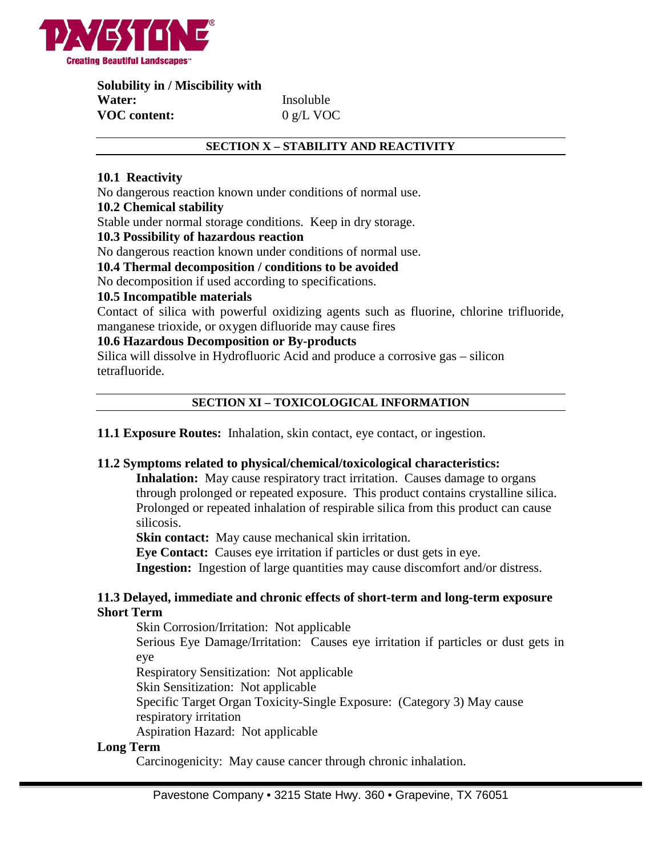

**Solubility in / Miscibility with Water:** Insoluble **VOC content:** 0 g/L VOC

### **SECTION X – STABILITY AND REACTIVITY**

# **10.1 Reactivity**

No dangerous reaction known under conditions of normal use.

### **10.2 Chemical stability**

Stable under normal storage conditions. Keep in dry storage.

### **10.3 Possibility of hazardous reaction**

No dangerous reaction known under conditions of normal use.

### **10.4 Thermal decomposition / conditions to be avoided**

No decomposition if used according to specifications.

#### **10.5 Incompatible materials**

Contact of silica with powerful oxidizing agents such as fluorine, chlorine trifluoride, manganese trioxide, or oxygen difluoride may cause fires

### **10.6 Hazardous Decomposition or By-products**

Silica will dissolve in Hydrofluoric Acid and produce a corrosive gas – silicon tetrafluoride.

### **SECTION XI – TOXICOLOGICAL INFORMATION**

**11.1 Exposure Routes:** Inhalation, skin contact, eye contact, or ingestion.

### **11.2 Symptoms related to physical/chemical/toxicological characteristics:**

**Inhalation:** May cause respiratory tract irritation. Causes damage to organs through prolonged or repeated exposure. This product contains crystalline silica. Prolonged or repeated inhalation of respirable silica from this product can cause silicosis.

**Skin contact:** May cause mechanical skin irritation.

**Eye Contact:** Causes eye irritation if particles or dust gets in eye.

**Ingestion:** Ingestion of large quantities may cause discomfort and/or distress.

### **11.3 Delayed, immediate and chronic effects of short-term and long-term exposure Short Term**

Skin Corrosion/Irritation: Not applicable

Serious Eye Damage/Irritation: Causes eye irritation if particles or dust gets in eye

Respiratory Sensitization: Not applicable

Skin Sensitization: Not applicable

Specific Target Organ Toxicity-Single Exposure: (Category 3) May cause

respiratory irritation

Aspiration Hazard: Not applicable

### **Long Term**

Carcinogenicity: May cause cancer through chronic inhalation.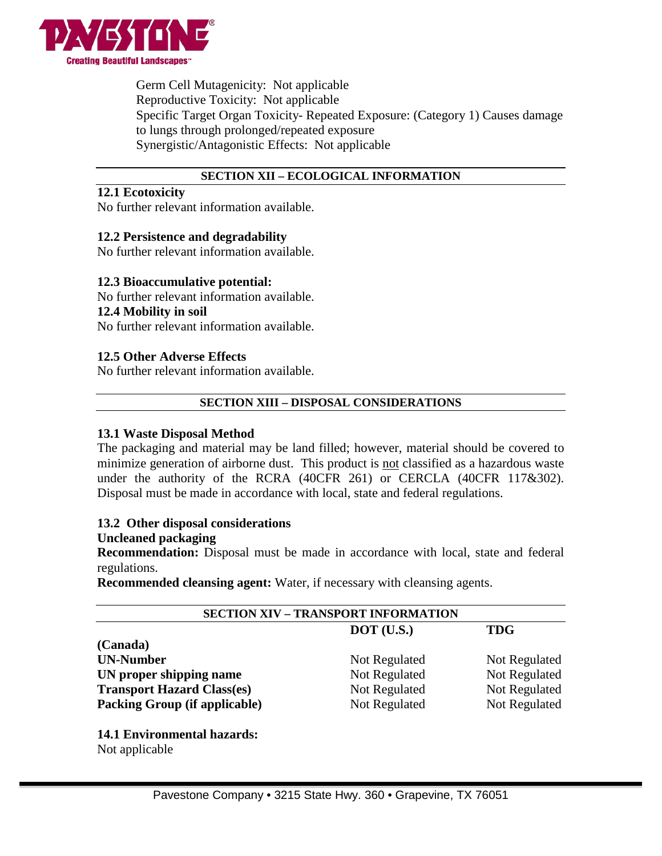

Germ Cell Mutagenicity: Not applicable Reproductive Toxicity: Not applicable Specific Target Organ Toxicity- Repeated Exposure: (Category 1) Causes damage to lungs through prolonged/repeated exposure Synergistic/Antagonistic Effects: Not applicable

### **SECTION XII – ECOLOGICAL INFORMATION**

### **12.1 Ecotoxicity**

No further relevant information available.

# **12.2 Persistence and degradability**

No further relevant information available.

# **12.3 Bioaccumulative potential:**

No further relevant information available.

### **12.4 Mobility in soil**

No further relevant information available.

# **12.5 Other Adverse Effects**

No further relevant information available.

# **SECTION XIII – DISPOSAL CONSIDERATIONS**

### **13.1 Waste Disposal Method**

The packaging and material may be land filled; however, material should be covered to minimize generation of airborne dust. This product is not classified as a hazardous waste under the authority of the RCRA (40CFR 261) or CERCLA (40CFR 117&302). Disposal must be made in accordance with local, state and federal regulations.

### **13.2 Other disposal considerations**

### **Uncleaned packaging**

**Recommendation:** Disposal must be made in accordance with local, state and federal regulations.

**Recommended cleansing agent:** Water, if necessary with cleansing agents.

| <b>SECTION XIV - TRANSPORT INFORMATION</b> |               |               |  |  |
|--------------------------------------------|---------------|---------------|--|--|
|                                            | $DOT$ (U.S.)  | <b>TDG</b>    |  |  |
| (Canada)                                   |               |               |  |  |
| <b>UN-Number</b>                           | Not Regulated | Not Regulated |  |  |
| UN proper shipping name                    | Not Regulated | Not Regulated |  |  |
| <b>Transport Hazard Class(es)</b>          | Not Regulated | Not Regulated |  |  |
| <b>Packing Group (if applicable)</b>       | Not Regulated | Not Regulated |  |  |
|                                            |               |               |  |  |

**14.1 Environmental hazards:** Not applicable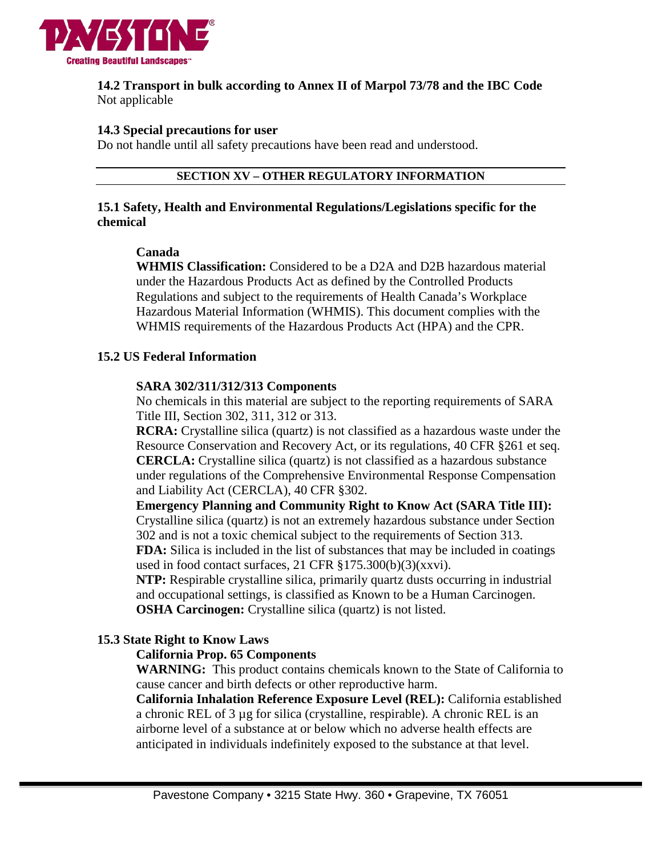

### **14.2 Transport in bulk according to Annex II of Marpol 73/78 and the IBC Code** Not applicable

### **14.3 Special precautions for user**

Do not handle until all safety precautions have been read and understood.

### **SECTION XV – OTHER REGULATORY INFORMATION**

### **15.1 Safety, Health and Environmental Regulations/Legislations specific for the chemical**

### **Canada**

**WHMIS Classification:** Considered to be a D2A and D2B hazardous material under the Hazardous Products Act as defined by the Controlled Products Regulations and subject to the requirements of Health Canada's Workplace Hazardous Material Information (WHMIS). This document complies with the WHMIS requirements of the Hazardous Products Act (HPA) and the CPR.

# **15.2 US Federal Information**

# **SARA 302/311/312/313 Components**

No chemicals in this material are subject to the reporting requirements of SARA Title III, Section 302, 311, 312 or 313.

**RCRA:** Crystalline silica (quartz) is not classified as a hazardous waste under the Resource Conservation and Recovery Act, or its regulations, 40 CFR §261 et seq. **CERCLA:** Crystalline silica (quartz) is not classified as a hazardous substance under regulations of the Comprehensive Environmental Response Compensation and Liability Act (CERCLA), 40 CFR §302.

**Emergency Planning and Community Right to Know Act (SARA Title III):** Crystalline silica (quartz) is not an extremely hazardous substance under Section 302 and is not a toxic chemical subject to the requirements of Section 313.

**FDA:** Silica is included in the list of substances that may be included in coatings used in food contact surfaces, 21 CFR §175.300(b)(3)(xxvi).

**NTP:** Respirable crystalline silica, primarily quartz dusts occurring in industrial and occupational settings, is classified as Known to be a Human Carcinogen. **OSHA Carcinogen:** Crystalline silica (quartz) is not listed.

# **15.3 State Right to Know Laws**

# **California Prop. 65 Components**

**WARNING:** This product contains chemicals known to the State of California to cause cancer and birth defects or other reproductive harm.

**California Inhalation Reference Exposure Level (REL):** California established a chronic REL of 3 µg for silica (crystalline, respirable). A chronic REL is an airborne level of a substance at or below which no adverse health effects are anticipated in individuals indefinitely exposed to the substance at that level.